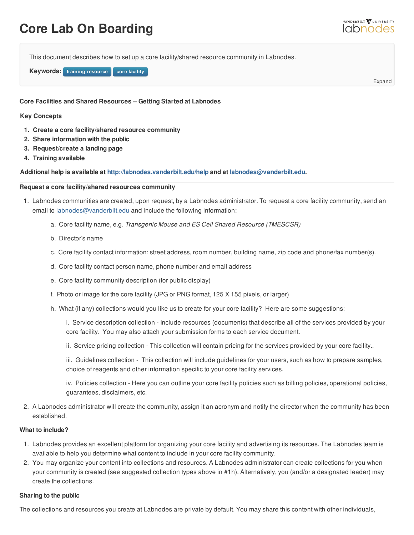# **Core Lab On Boarding**

This document describes how to set up a core facility/shared resource community in Labnodes.

**Keywords: training resource** core facility

Expand

#### **Core Facilities and Shared Resources – Getting Started at Labnodes**

#### **Key Concepts**

- **1. Create a core facility/shared resource [community](https://labnodes.vanderbilt.edu/resource/view/id/4144/collection_id/1068/community_id/49)**
- **2. Share information with the public**
- **3. Request/create a landing page**
- **4. Training available**

**Additional help is available at <http://labnodes.vanderbilt.edu/help> and at [labnodes@vanderbilt.edu](mailto:labnodes@vanderbilt.edu).**

#### **Request a core facility/shared resources community**

- 1. Labnodes communities are created, upon request, by a Labnodes administrator. To request a core facility community, send an email to [labnodes@vanderbilt.edu](mailto:labnodes@vanderbilt.edu) and include the following information:
	- a. Core facility name, e.g. *Transgenic Mouse and ES Cell Shared Resource (TMESCSR)*
	- b. Director's name
	- c. Core facility contact information: street address, room number, building name, zip code and phone/fax number(s).
	- d. Core facility contact person name, phone number and email address
	- e. Core facility community description (for public display)
	- f. Photo or image for the core facility (JPG or PNG format, 125 X 155 pixels, or larger)
	- h. What (if any) collections would you like us to create for your core facility? Here are some suggestions:

i. Service description collection - Include resources (documents) that describe all of the services provided by your core facility. You may also attach your submission forms to each service document.

ii. Service pricing collection - This collection will contain pricing for the services provided by your core facility..

iii. Guidelines collection - This collection will include guidelines for your users, such as how to prepare samples, choice of reagents and other information specific to your core facility services.

iv. Policies collection - Here you can outline your core facility policies such as billing policies, operational policies, guarantees, disclaimers, etc.

2. A Labnodes administrator will create the community, assign it an acronym and notify the director when the community has been established.

#### **What to include?**

- 1. Labnodes provides an excellent platform for organizing your core facility and advertising its resources. The Labnodes team is available to help you determine what content to include in your core facility community.
- 2. You may organize your content into collections and resources. A Labnodes administrator can create collections for you when your community is created (see suggested collection types above in #1h). Alternatively, you (and/or a designated leader) may create the collections.

#### **Sharing to the public**

The collections and resources you create at Labnodes are private by default. You may share this content with other individuals,